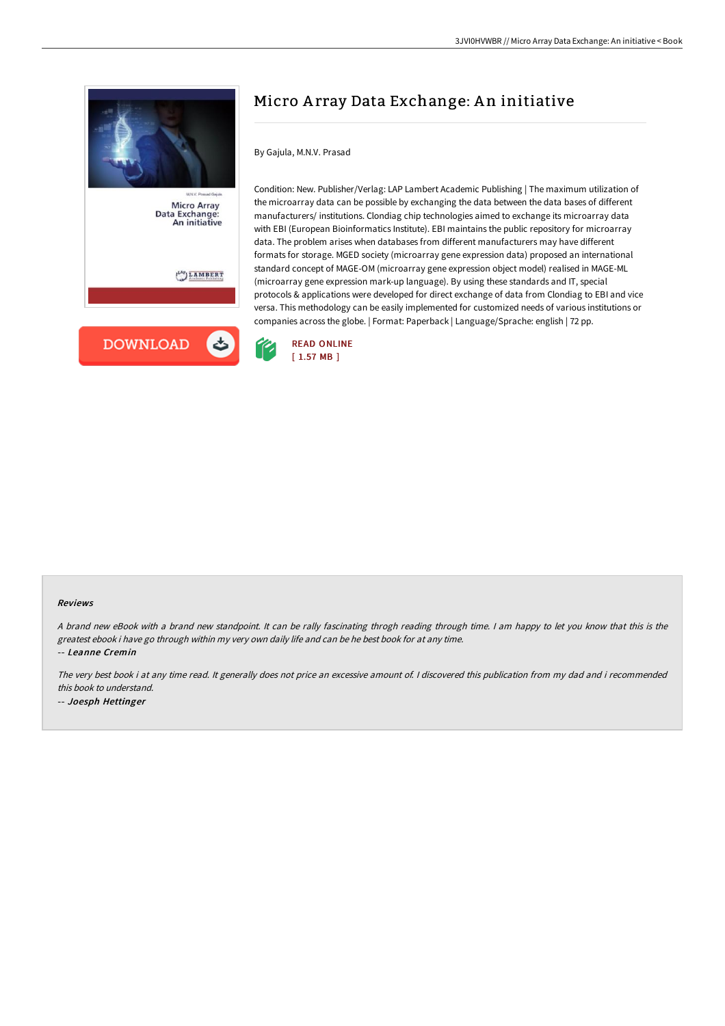

Data Exchange:<br>An initiative

 $\binom{LAP}{P}$ LAMBERT



# Micro Array Data Exchange: An initiative

By Gajula, M.N.V. Prasad

Condition: New. Publisher/Verlag: LAP Lambert Academic Publishing | The maximum utilization of the microarray data can be possible by exchanging the data between the data bases of different manufacturers/ institutions. Clondiag chip technologies aimed to exchange its microarray data with EBI (European Bioinformatics Institute). EBI maintains the public repository for microarray data. The problem arises when databases from different manufacturers may have different formats for storage. MGED society (microarray gene expression data) proposed an international standard concept of MAGE-OM (microarray gene expression object model) realised in MAGE-ML (microarray gene expression mark-up language). By using these standards and IT, special protocols & applications were developed for direct exchange of data from Clondiag to EBI and vice versa. This methodology can be easily implemented for customized needs of various institutions or companies across the globe. | Format: Paperback | Language/Sprache: english | 72 pp.



#### Reviews

<sup>A</sup> brand new eBook with <sup>a</sup> brand new standpoint. It can be rally fascinating throgh reading through time. <sup>I</sup> am happy to let you know that this is the greatest ebook i have go through within my very own daily life and can be he best book for at any time. -- Leanne Cremin

The very best book i at any time read. It generally does not price an excessive amount of. <sup>I</sup> discovered this publication from my dad and i recommended this book to understand. -- Joesph Hettinger